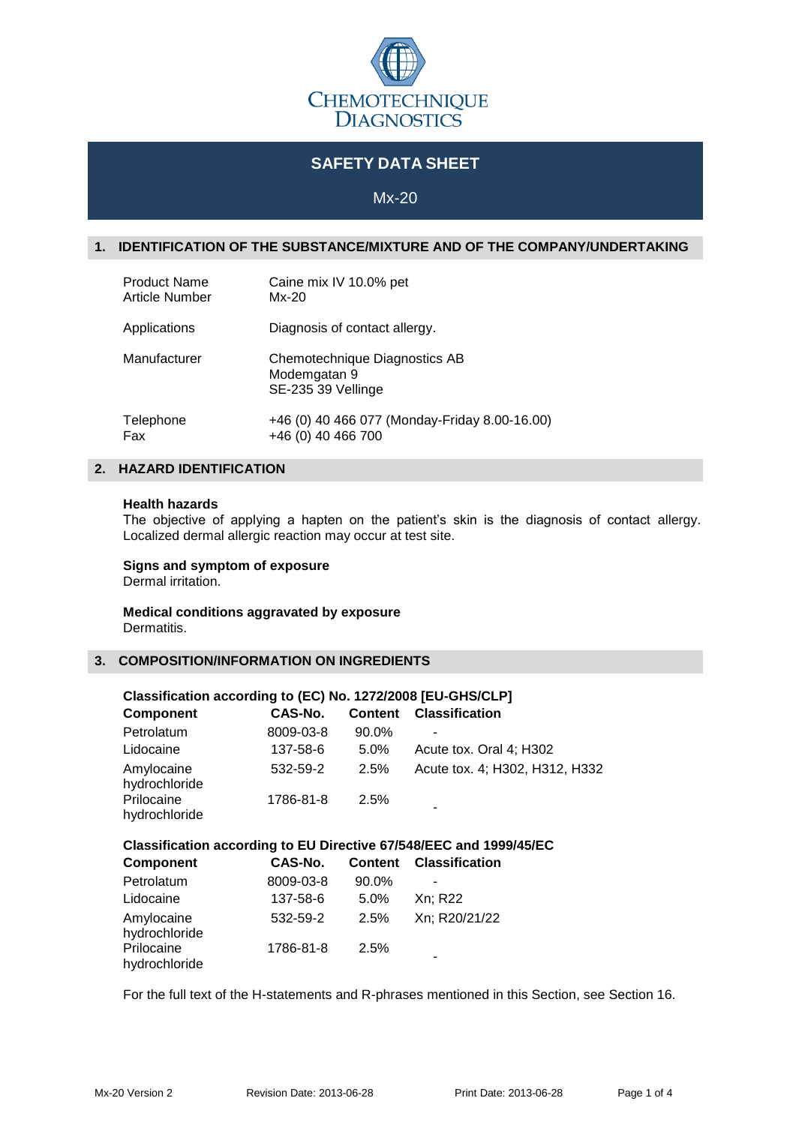

# **SAFETY DATA SHEET**

Mx-20

# **1. IDENTIFICATION OF THE SUBSTANCE/MIXTURE AND OF THE COMPANY/UNDERTAKING**

| <b>Product Name</b> | Caine mix IV 10.0% pet                                              |
|---------------------|---------------------------------------------------------------------|
| Article Number      | Mx-20                                                               |
| Applications        | Diagnosis of contact allergy.                                       |
| Manufacturer        | Chemotechnique Diagnostics AB<br>Modemgatan 9<br>SE-235 39 Vellinge |
| Telephone           | +46 (0) 40 466 077 (Monday-Friday 8.00-16.00)                       |
| Fax                 | +46 (0) 40 466 700                                                  |

# **2. HAZARD IDENTIFICATION**

#### **Health hazards**

The objective of applying a hapten on the patient's skin is the diagnosis of contact allergy. Localized dermal allergic reaction may occur at test site.

# **Signs and symptom of exposure**

Dermal irritation.

#### **Medical conditions aggravated by exposure** Dermatitis.

#### **3. COMPOSITION/INFORMATION ON INGREDIENTS**

#### **Classification according to (EC) No. 1272/2008 [EU-GHS/CLP] Component CAS-No. Content Classification**

| Petrolatum                  | 8009-03-8 | 90.0%   |                                |
|-----------------------------|-----------|---------|--------------------------------|
| Lidocaine                   | 137-58-6  | $5.0\%$ | Acute tox. Oral 4; H302        |
| Amylocaine<br>hydrochloride | 532-59-2  | 2.5%    | Acute tox. 4; H302, H312, H332 |
| Prilocaine<br>hydrochloride | 1786-81-8 | 2.5%    |                                |

# **Classification according to EU Directive 67/548/EEC and 1999/45/EC**

| <b>Component</b>            | CAS-No.   |         | <b>Content Classification</b> |
|-----------------------------|-----------|---------|-------------------------------|
| Petrolatum                  | 8009-03-8 | 90.0%   |                               |
| Lidocaine                   | 137-58-6  | $5.0\%$ | Xn; R22                       |
| Amylocaine<br>hydrochloride | 532-59-2  | 2.5%    | Xn; R20/21/22                 |
| Prilocaine<br>hydrochloride | 1786-81-8 | 2.5%    |                               |

For the full text of the H-statements and R-phrases mentioned in this Section, see Section 16.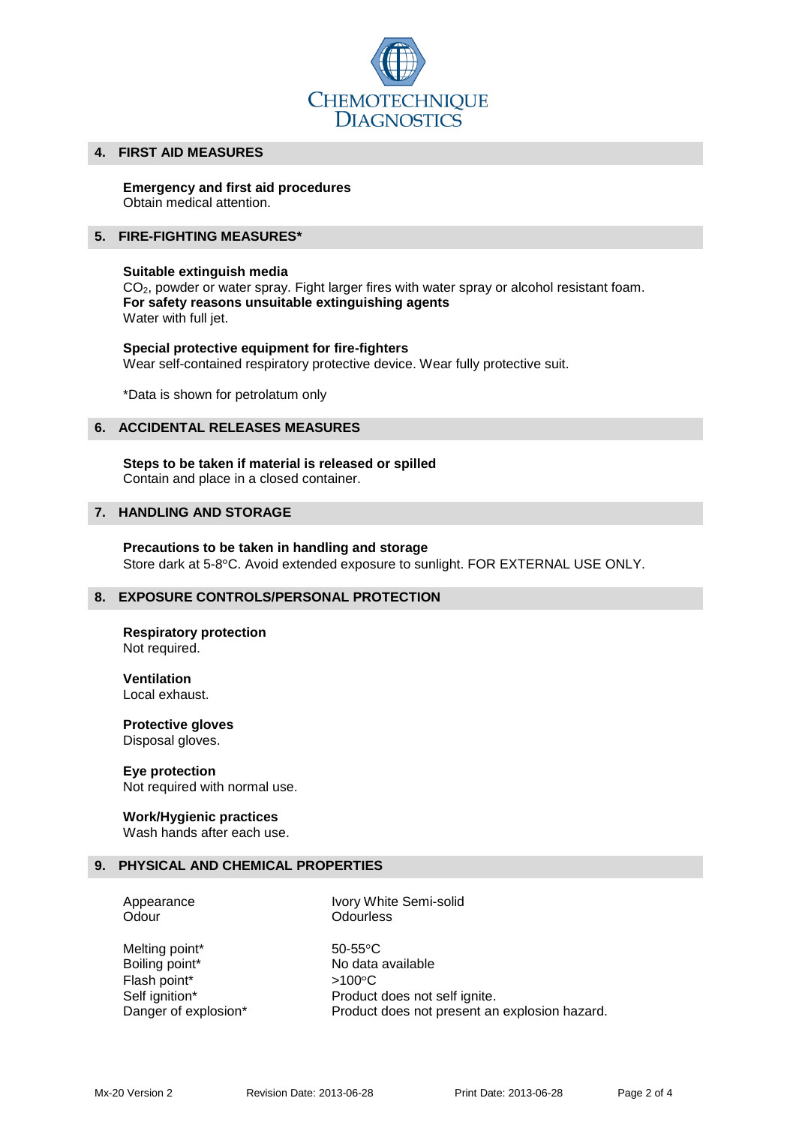

### **4. FIRST AID MEASURES**

# **Emergency and first aid procedures**

Obtain medical attention.

## **5. FIRE-FIGHTING MEASURES\***

## **Suitable extinguish media**

CO<sub>2</sub>, powder or water spray. Fight larger fires with water spray or alcohol resistant foam. **For safety reasons unsuitable extinguishing agents** Water with full jet.

### **Special protective equipment for fire-fighters** Wear self-contained respiratory protective device. Wear fully protective suit.

\*Data is shown for petrolatum only

## **6. ACCIDENTAL RELEASES MEASURES**

#### **Steps to be taken if material is released or spilled** Contain and place in a closed container.

## **7. HANDLING AND STORAGE**

# **Precautions to be taken in handling and storage**

Store dark at 5-8°C. Avoid extended exposure to sunlight. FOR EXTERNAL USE ONLY.

# **8. EXPOSURE CONTROLS/PERSONAL PROTECTION**

#### **Respiratory protection** Not required.

**Ventilation** Local exhaust.

#### **Protective gloves** Disposal gloves.

**Eye protection** Not required with normal use.

# **Work/Hygienic practices**

Wash hands after each use.

### **9. PHYSICAL AND CHEMICAL PROPERTIES**

Odour **Odourless** 

Appearance Ivory White Semi-solid

Melting point\* 50-55°C Flash point\*  $>100^{\circ}$ C

Boiling point\* No data available Self ignition\* Product does not self ignite. Danger of explosion\* Product does not present an explosion hazard.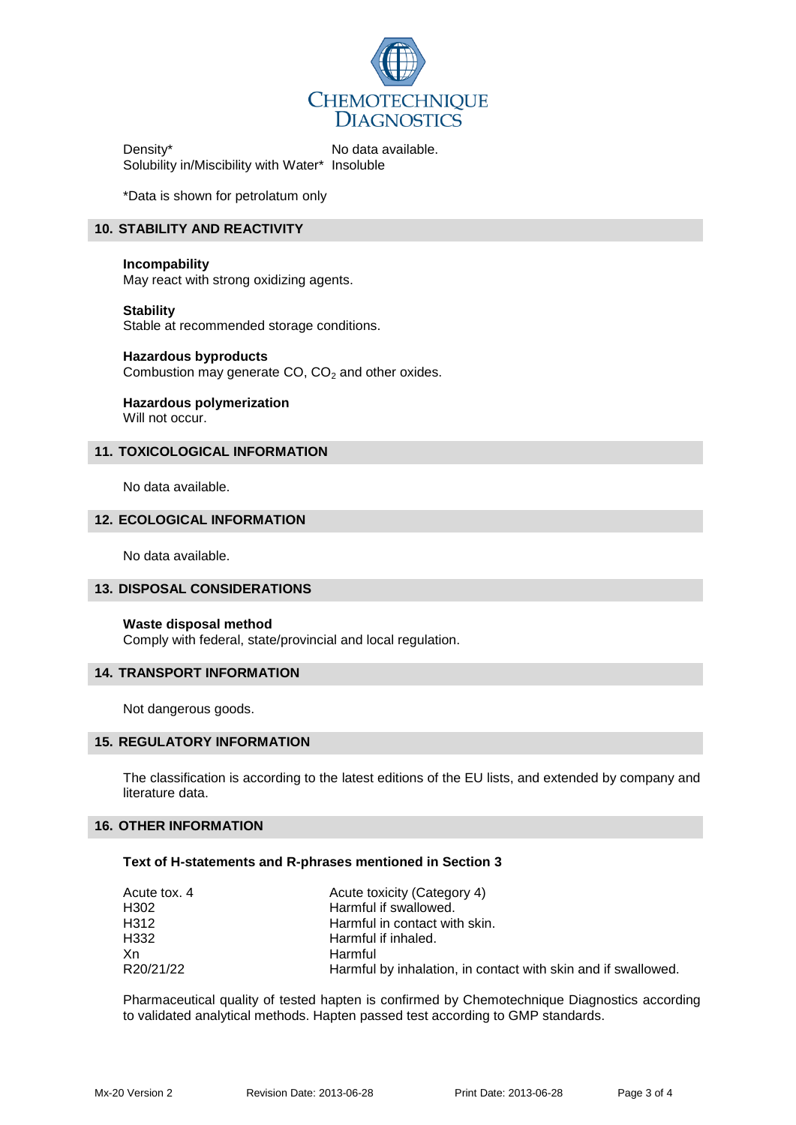

Density\* No data available. Solubility in/Miscibility with Water\* Insoluble

\*Data is shown for petrolatum only

# **10. STABILITY AND REACTIVITY**

### **Incompability**

May react with strong oxidizing agents.

**Stability** Stable at recommended storage conditions.

**Hazardous byproducts** Combustion may generate  $CO$ ,  $CO<sub>2</sub>$  and other oxides.

**Hazardous polymerization** Will not occur.

# **11. TOXICOLOGICAL INFORMATION**

No data available.

# **12. ECOLOGICAL INFORMATION**

No data available.

### **13. DISPOSAL CONSIDERATIONS**

### **Waste disposal method**

Comply with federal, state/provincial and local regulation.

### **14. TRANSPORT INFORMATION**

Not dangerous goods.

### **15. REGULATORY INFORMATION**

The classification is according to the latest editions of the EU lists, and extended by company and literature data.

# **16. OTHER INFORMATION**

### **Text of H-statements and R-phrases mentioned in Section 3**

| Acute tox, 4 | Acute toxicity (Category 4)                                   |
|--------------|---------------------------------------------------------------|
| H302         | Harmful if swallowed.                                         |
| H312         | Harmful in contact with skin.                                 |
| H332         | Harmful if inhaled.                                           |
| Xn           | Harmful                                                       |
| R20/21/22    | Harmful by inhalation, in contact with skin and if swallowed. |

Pharmaceutical quality of tested hapten is confirmed by Chemotechnique Diagnostics according to validated analytical methods. Hapten passed test according to GMP standards.